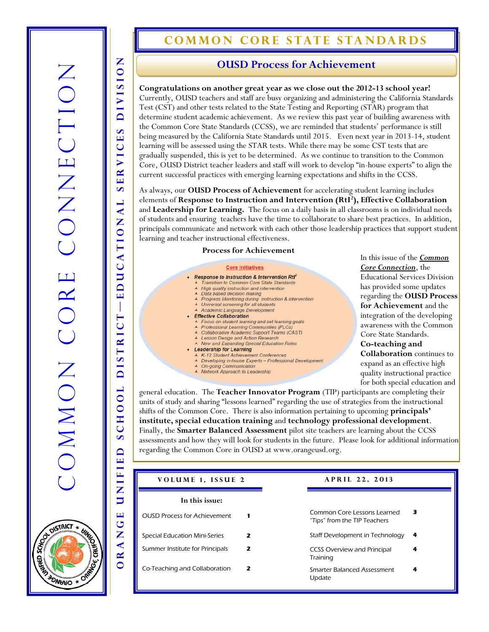# **COMMON CORE STATE STANDARDS**

**Congratulations on another great year as we close out the 2012-13 school year!**  Currently, OUSD teachers and staff are busy organizing and administering the California Standards Test (CST) and other tests related to the State Testing and Reporting (STAR) program that determine student academic achievement. As we review this past year of building awareness with the Common Core State Standards (CCSS), we are reminded that students' performance is still being measured by the California State Standards until 2015. Even next year in 2013-14, student learning will be assessed using the STAR tests. While there may be some CST tests that are gradually suspended, this is yet to be determined. As we continue to transition to the Common Core, OUSD District teacher leaders and staff will work to develop "in-house experts" to align the current successful practices with emerging learning expectations and shifts in the CCSS.

As always, our **OUSD Process of Achievement** for accelerating student learning includes elements of **Response to Instruction and Intervention (RtI<sup>2</sup> ), Effective Collaboration**  and **Leadership for Learning.** The focus on a daily basis in all classrooms is on individual needs of students and ensuring teachers have the time to collaborate to share best practices. In addition, principals communicate and network with each other those leadership practices that support student learning and teacher instructional effectiveness.

#### **Process for Achievement**

#### **Core Initiatives**

• Response to Instruction & Intervention Rtl<sup>2</sup> Transition to Common Core State Standards High quality instruction and intervention<br>Data based decision making Progress Monitoring during instruction & intervention  $\blacktriangle$ ▲ Universal screening for all students<br>▲ Academic Language Development • Effective Collaboration Focus on student learning and set learning goals<br>Professional Learning Communities (PLCs) Collaborative Academic Support Teams (CAST)<br>Lesson Design and Action Research<br>New and Expanding Special Education Roles  $\blacktriangle$  $\mathbf{r}$ **Leadership for Learning** K-12 Student Achievement Conferences<br>Developing in-house Experts - Professional Development **On-going Communication** A Network Approach to Leadership

In this issue of the *Common Core Connection*, the Educational Services Division has provided some updates regarding the **OUSD Process for Achievement** and the integration of the developing awareness with the Common Core State Standards. **Co-teaching and** 

**Collaboration** continues to expand as an effective high quality instructional practice for both special education and

general education. The **Teacher Innovator Program** (TIP) participants are completing their units of study and sharing "lessons learned" regarding the use of strategies from the instructional shifts of the Common Core. There is also information pertaining to upcoming **principals' institute, special education training** and **technology professional development**. Finally, the **Smarter Balanced Assessment** pilot site teachers are learning about the CCSS assessments and how they will look for students in the future. Please look for additional information regarding the Common Core in OUSD at www.orangeusd.org.

| VOLUME 1, ISSUE 2                   |   | APRIL 22, 2013                                              |   |
|-------------------------------------|---|-------------------------------------------------------------|---|
| In this issue:                      |   |                                                             |   |
| <b>OUSD Process for Achievement</b> |   | Common Core Lessons Learned<br>"Tips" from the TIP Teachers | з |
| Special Education Mini-Series       | 2 | Staff Development in Technology                             | 4 |
| Summer Institute for Principals     | 2 | <b>CCSS Overview and Principal</b><br>Training              | 4 |
| Co-Teaching and Collaboration       | 2 | Smarter Balanced Assessment<br>Update                       | 4 |



ORANGE UNIFIED SCHOOL DISTRICT

-EDUCATIONAL SERVICES DIVISION

**SERVICES** 

AL

EDUCATION

 $\overline{\phantom{a}}$ 

DISTRICT

 $100$ 

CH  $\bar{a}$  $\Delta$ 

UNIFIE

 $\overline{\mathbf{H}}$ ق

Z  $\blacktriangleleft$  $\overline{\mathbf{z}}$ 

Z

**DIVISIO**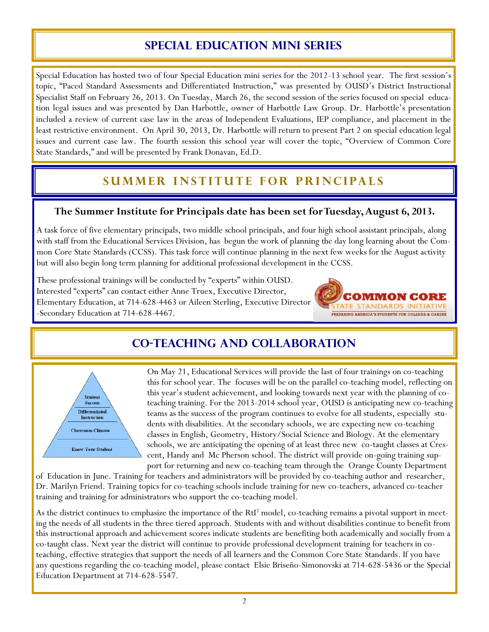## **Special education mini series**

Special Education has hosted two of four Special Education mini series for the 2012-13 school year. The first session's topic, "Paced Standard Assessments and Differentiated Instruction," was presented by OUSD's District Instructional Specialist Staff on February 26, 2013. On Tuesday, March 26, the second session of the series focused on special education legal issues and was presented by Dan Harbottle, owner of Harbottle Law Group. Dr. Harbottle's presentation included a review of current case law in the areas of Independent Evaluations, IEP compliance, and placement in the least restrictive environment. On April 30, 2013, Dr. Harbottle will return to present Part 2 on special education legal issues and current case law. The fourth session this school year will cover the topic, "Overview of Common Core State Standards," and will be presented by Frank Donavan, Ed.D.

# **SUMMER INSTITUTE FOR PRINCIPALS**

#### **The Summer Institute for Principals date has been set for Tuesday, August 6, 2013.**

A task force of five elementary principals, two middle school principals, and four high school assistant principals, along with staff from the Educational Services Division, has begun the work of planning the day long learning about the Common Core State Standards (CCSS). This task force will continue planning in the next few weeks for the August activity but will also begin long term planning for additional professional development in the CCSS.

These professional trainings will be conducted by "experts" within OUSD. Interested "experts" can contact either Anne Truex, Executive Director, Elementary Education, at 714-628-4463 or Aileen Sterling, Executive Director -Secondary Education at 714-628-4467.



## **Co-Teaching and collaboration**



On May 21, Educational Services will provide the last of four trainings on co-teaching this for school year. The focuses will be on the parallel co-teaching model, reflecting on this year's student achievement, and looking towards next year with the planning of coteaching training. For the 2013-2014 school year, OUSD is anticipating new co-teaching teams as the success of the program continues to evolve for all students, especially students with disabilities. At the secondary schools, we are expecting new co-teaching classes in English, Geometry, History/Social Science and Biology. At the elementary schools, we are anticipating the opening of at least three new co-taught classes at Crescent, Handy and Mc Pherson school. The district will provide on-going training support for returning and new co-teaching team through the Orange County Department

of Education in June. Training for teachers and administrators will be provided by co-teaching author and researcher, Dr. Marilyn Friend. Training topics for co-teaching schools include training for new co-teachers, advanced co-teacher training and training for administrators who support the co-teaching model.

As the district continues to emphasize the importance of the RtI<sup>2</sup> model, co-teaching remains a pivotal support in meeting the needs of all students in the three tiered approach. Students with and without disabilities continue to benefit from this instructional approach and achievement scores indicate students are benefiting both academically and socially from a co-taught class. Next year the district will continue to provide professional development training for teachers in coteaching, effective strategies that support the needs of all learners and the Common Core State Standards. If you have any questions regarding the co-teaching model, please contact Elsie Briseño-Simonovski at 714-628-5436 or the Special Education Department at 714-628-5547.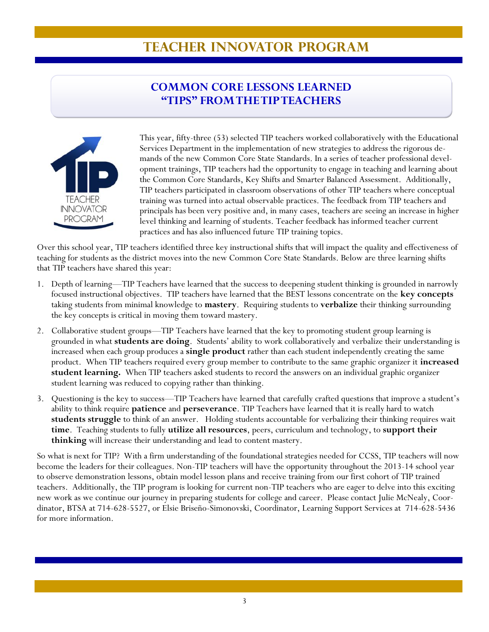# **TEACHER INNOVATOR PROGRAM**

## **COMMON CORE LESSONS LEARNED "TIPS" FROM THE TIP TEACHERS**



This year, fifty-three (53) selected TIP teachers worked collaboratively with the Educational Services Department in the implementation of new strategies to address the rigorous demands of the new Common Core State Standards. In a series of teacher professional development trainings, TIP teachers had the opportunity to engage in teaching and learning about the Common Core Standards, Key Shifts and Smarter Balanced Assessment. Additionally, TIP teachers participated in classroom observations of other TIP teachers where conceptual training was turned into actual observable practices. The feedback from TIP teachers and principals has been very positive and, in many cases, teachers are seeing an increase in higher level thinking and learning of students. Teacher feedback has informed teacher current practices and has also influenced future TIP training topics.

Over this school year, TIP teachers identified three key instructional shifts that will impact the quality and effectiveness of teaching for students as the district moves into the new Common Core State Standards. Below are three learning shifts that TIP teachers have shared this year:

- 1. Depth of learning—TIP Teachers have learned that the success to deepening student thinking is grounded in narrowly focused instructional objectives. TIP teachers have learned that the BEST lessons concentrate on the **key concepts** taking students from minimal knowledge to **mastery**. Requiring students to **verbalize** their thinking surrounding the key concepts is critical in moving them toward mastery.
- 2. Collaborative student groups—TIP Teachers have learned that the key to promoting student group learning is grounded in what **students are doing**. Students' ability to work collaboratively and verbalize their understanding is increased when each group produces a **single product** rather than each student independently creating the same product. When TIP teachers required every group member to contribute to the same graphic organizer it **increased student learning.** When TIP teachers asked students to record the answers on an individual graphic organizer student learning was reduced to copying rather than thinking.
- 3. Questioning is the key to success—TIP Teachers have learned that carefully crafted questions that improve a student's ability to think require **patience** and **perseverance**. TIP Teachers have learned that it is really hard to watch **students struggle** to think of an answer. Holding students accountable for verbalizing their thinking requires wait **time**. Teaching students to fully **utilize all resources**, peers, curriculum and technology, to **support their thinking** will increase their understanding and lead to content mastery.

So what is next for TIP? With a firm understanding of the foundational strategies needed for CCSS, TIP teachers will now become the leaders for their colleagues. Non-TIP teachers will have the opportunity throughout the 2013-14 school year to observe demonstration lessons, obtain model lesson plans and receive training from our first cohort of TIP trained teachers. Additionally, the TIP program is looking for current non-TIP teachers who are eager to delve into this exciting new work as we continue our journey in preparing students for college and career. Please contact Julie McNealy, Coordinator, BTSA at 714-628-5527, or Elsie Briseño-Simonovski, Coordinator, Learning Support Services at 714-628-5436 for more information.